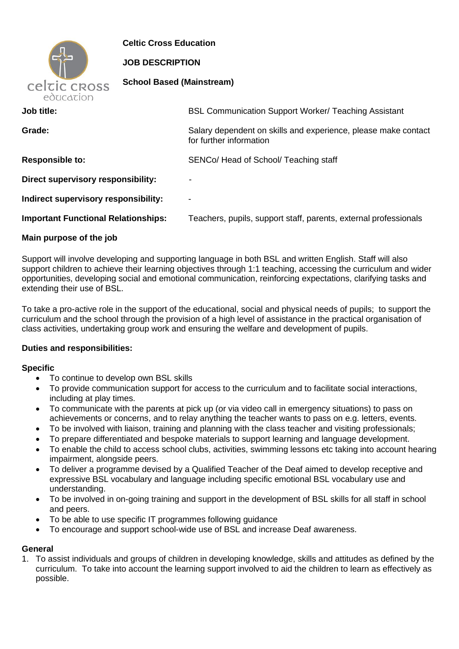

**Celtic Cross Education**

### **JOB DESCRIPTION**

**School Based (Mainstream)**

| CUUCUULI                                   |                                                                                           |  |
|--------------------------------------------|-------------------------------------------------------------------------------------------|--|
| Job title:                                 | <b>BSL Communication Support Worker/ Teaching Assistant</b>                               |  |
| Grade:                                     | Salary dependent on skills and experience, please make contact<br>for further information |  |
| <b>Responsible to:</b>                     | SENCo/ Head of School/ Teaching staff                                                     |  |
| Direct supervisory responsibility:         | $\overline{\phantom{a}}$                                                                  |  |
| Indirect supervisory responsibility:       | $\blacksquare$                                                                            |  |
| <b>Important Functional Relationships:</b> | Teachers, pupils, support staff, parents, external professionals                          |  |
|                                            |                                                                                           |  |

### **Main purpose of the job**

Support will involve developing and supporting language in both BSL and written English. Staff will also support children to achieve their learning objectives through 1:1 teaching, accessing the curriculum and wider opportunities, developing social and emotional communication, reinforcing expectations, clarifying tasks and extending their use of BSL.

To take a pro-active role in the support of the educational, social and physical needs of pupils; to support the curriculum and the school through the provision of a high level of assistance in the practical organisation of class activities, undertaking group work and ensuring the welfare and development of pupils.

# **Duties and responsibilities:**

#### **Specific**

- To continue to develop own BSL skills
- To provide communication support for access to the curriculum and to facilitate social interactions, including at play times.
- To communicate with the parents at pick up (or via video call in emergency situations) to pass on achievements or concerns, and to relay anything the teacher wants to pass on e.g. letters, events.
- To be involved with liaison, training and planning with the class teacher and visiting professionals;
- To prepare differentiated and bespoke materials to support learning and language development.
- To enable the child to access school clubs, activities, swimming lessons etc taking into account hearing impairment, alongside peers.
- To deliver a programme devised by a Qualified Teacher of the Deaf aimed to develop receptive and expressive BSL vocabulary and language including specific emotional BSL vocabulary use and understanding.
- To be involved in on-going training and support in the development of BSL skills for all staff in school and peers.
- To be able to use specific IT programmes following guidance
- To encourage and support school-wide use of BSL and increase Deaf awareness.

# **General**

1. To assist individuals and groups of children in developing knowledge, skills and attitudes as defined by the curriculum. To take into account the learning support involved to aid the children to learn as effectively as possible.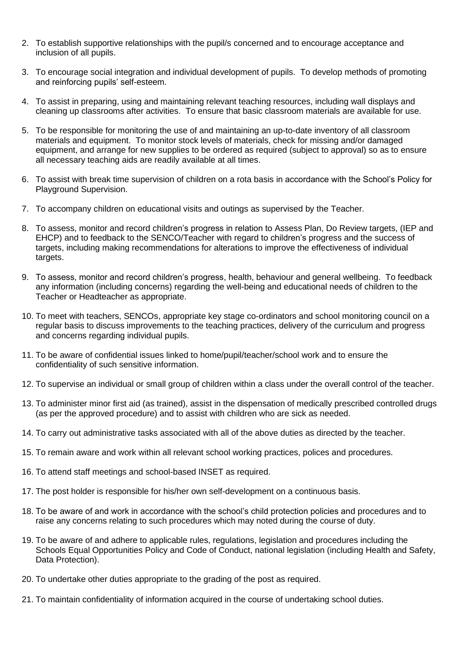- 2. To establish supportive relationships with the pupil/s concerned and to encourage acceptance and inclusion of all pupils.
- 3. To encourage social integration and individual development of pupils. To develop methods of promoting and reinforcing pupils' self-esteem.
- 4. To assist in preparing, using and maintaining relevant teaching resources, including wall displays and cleaning up classrooms after activities. To ensure that basic classroom materials are available for use.
- 5. To be responsible for monitoring the use of and maintaining an up-to-date inventory of all classroom materials and equipment. To monitor stock levels of materials, check for missing and/or damaged equipment, and arrange for new supplies to be ordered as required (subject to approval) so as to ensure all necessary teaching aids are readily available at all times.
- 6. To assist with break time supervision of children on a rota basis in accordance with the School's Policy for Playground Supervision.
- 7. To accompany children on educational visits and outings as supervised by the Teacher.
- 8. To assess, monitor and record children's progress in relation to Assess Plan, Do Review targets, (IEP and EHCP) and to feedback to the SENCO/Teacher with regard to children's progress and the success of targets, including making recommendations for alterations to improve the effectiveness of individual targets.
- 9. To assess, monitor and record children's progress, health, behaviour and general wellbeing. To feedback any information (including concerns) regarding the well-being and educational needs of children to the Teacher or Headteacher as appropriate.
- 10. To meet with teachers, SENCOs, appropriate key stage co-ordinators and school monitoring council on a regular basis to discuss improvements to the teaching practices, delivery of the curriculum and progress and concerns regarding individual pupils.
- 11. To be aware of confidential issues linked to home/pupil/teacher/school work and to ensure the confidentiality of such sensitive information.
- 12. To supervise an individual or small group of children within a class under the overall control of the teacher.
- 13. To administer minor first aid (as trained), assist in the dispensation of medically prescribed controlled drugs (as per the approved procedure) and to assist with children who are sick as needed.
- 14. To carry out administrative tasks associated with all of the above duties as directed by the teacher.
- 15. To remain aware and work within all relevant school working practices, polices and procedures.
- 16. To attend staff meetings and school-based INSET as required.
- 17. The post holder is responsible for his/her own self-development on a continuous basis.
- 18. To be aware of and work in accordance with the school's child protection policies and procedures and to raise any concerns relating to such procedures which may noted during the course of duty.
- 19. To be aware of and adhere to applicable rules, regulations, legislation and procedures including the Schools Equal Opportunities Policy and Code of Conduct, national legislation (including Health and Safety, Data Protection).
- 20. To undertake other duties appropriate to the grading of the post as required.
- 21. To maintain confidentiality of information acquired in the course of undertaking school duties.